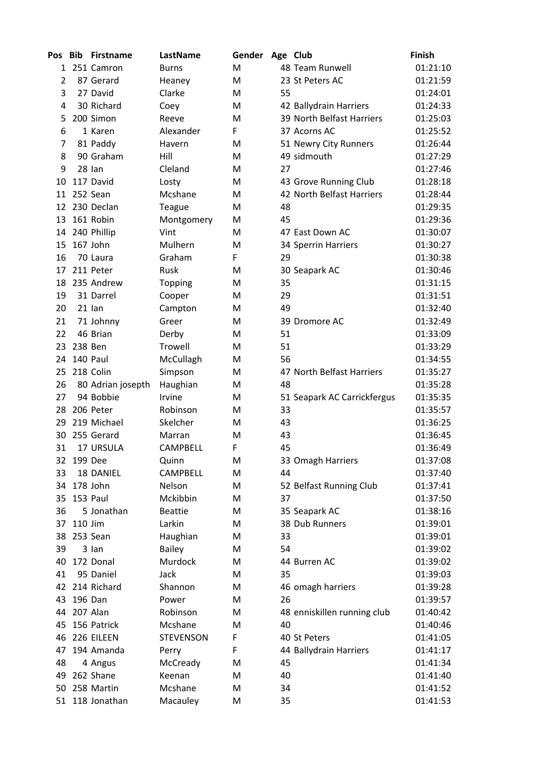| Pos            | Bib         | <b>Firstname</b>  | LastName         | Gender | Age Club |                             | <b>Finish</b> |
|----------------|-------------|-------------------|------------------|--------|----------|-----------------------------|---------------|
| 1              |             | 251 Camron        | <b>Burns</b>     | M      |          | 48 Team Runwell             | 01:21:10      |
| $\overline{2}$ |             | 87 Gerard         | Heaney           | M      |          | 23 St Peters AC             | 01:21:59      |
| 3              |             | 27 David          | Clarke           | M      | 55       |                             | 01:24:01      |
| 4              |             | 30 Richard        | Coey             | M      |          | 42 Ballydrain Harriers      | 01:24:33      |
| 5              |             | 200 Simon         | Reeve            | M      |          | 39 North Belfast Harriers   | 01:25:03      |
| 6              |             | 1 Karen           | Alexander        | F      |          | 37 Acorns AC                | 01:25:52      |
| 7              |             | 81 Paddy          | Havern           | M      |          | 51 Newry City Runners       | 01:26:44      |
| 8              |             | 90 Graham         | Hill             | M      |          | 49 sidmouth                 | 01:27:29      |
| 9              |             | 28 lan            | Cleland          | M      | 27       |                             | 01:27:46      |
| 10             |             | 117 David         | Losty            | M      |          | 43 Grove Running Club       | 01:28:18      |
|                |             | 11 252 Sean       | Mcshane          | M      |          | 42 North Belfast Harriers   | 01:28:44      |
| 12             |             | 230 Declan        | Teague           | M      | 48       |                             | 01:29:35      |
| 13             |             | 161 Robin         | Montgomery       | M      | 45       |                             | 01:29:36      |
| 14             |             | 240 Phillip       | Vint             | M      |          | 47 East Down AC             | 01:30:07      |
| 15             |             | 167 John          | Mulhern          | M      |          | 34 Sperrin Harriers         | 01:30:27      |
| 16             |             | 70 Laura          | Graham           | F      | 29       |                             | 01:30:38      |
| 17             |             | 211 Peter         | Rusk             | M      |          | 30 Seapark AC               | 01:30:46      |
| 18             |             | 235 Andrew        | Topping          | M      | 35       |                             | 01:31:15      |
| 19             |             | 31 Darrel         | Cooper           | M      | 29       |                             | 01:31:51      |
| 20             |             | $21$ lan          | Campton          | M      | 49       |                             | 01:32:40      |
| 21             |             | 71 Johnny         | Greer            | M      |          | 39 Dromore AC               | 01:32:49      |
| 22             |             | 46 Brian          | Derby            | M      | 51       |                             | 01:33:09      |
| 23             | 238 Ben     |                   | <b>Trowell</b>   | M      | 51       |                             | 01:33:29      |
| 24             |             | 140 Paul          | McCullagh        | M      | 56       |                             | 01:34:55      |
| 25             |             | 218 Colin         | Simpson          | M      |          | 47 North Belfast Harriers   | 01:35:27      |
| 26             |             | 80 Adrian josepth | Haughian         | M      | 48       |                             | 01:35:28      |
| 27             |             | 94 Bobbie         | Irvine           | M      |          | 51 Seapark AC Carrickfergus | 01:35:35      |
| 28             |             | 206 Peter         | Robinson         | M      | 33       |                             | 01:35:57      |
| 29             |             | 219 Michael       | Skelcher         | M      | 43       |                             | 01:36:25      |
| 30             |             | 255 Gerard        | Marran           | M      | 43       |                             | 01:36:45      |
| 31             |             | 17 URSULA         | <b>CAMPBELL</b>  | F      | 45       |                             | 01:36:49      |
| 32             | 199 Dee     |                   | Quinn            | M      |          | 33 Omagh Harriers           | 01:37:08      |
| 33             |             | 18 DANIEL         | <b>CAMPBELL</b>  | M      | 44       |                             | 01:37:40      |
| 34             |             | 178 John          | Nelson           | M      |          | 52 Belfast Running Club     | 01:37:41      |
| 35             |             | 153 Paul          | Mckibbin         | M      | 37       |                             | 01:37:50      |
| 36             |             | 5 Jonathan        | <b>Beattie</b>   | M      |          | 35 Seapark AC               | 01:38:16      |
| 37             | 110 Jim     |                   | Larkin           | M      |          | 38 Dub Runners              | 01:39:01      |
| 38             |             | 253 Sean          | Haughian         | M      | 33       |                             | 01:39:01      |
| 39             |             | 3 lan             | <b>Bailey</b>    | M      | 54       |                             | 01:39:02      |
| 40             |             | 172 Donal         | Murdock          | M      |          | 44 Burren AC                | 01:39:02      |
| 41             |             | 95 Daniel         | Jack             | M      | 35       |                             | 01:39:03      |
| 42             |             | 214 Richard       | Shannon          | M      |          | 46 omagh harriers           | 01:39:28      |
| 43             | 196 Dan     |                   | Power            | M      | 26       |                             | 01:39:57      |
|                | 44 207 Alan |                   | Robinson         | M      |          | 48 enniskillen running club | 01:40:42      |
| 45             |             | 156 Patrick       | Mcshane          | M      | 40       |                             | 01:40:46      |
| 46             |             | 226 EILEEN        | <b>STEVENSON</b> | F      |          | 40 St Peters                | 01:41:05      |
| 47             |             | 194 Amanda        | Perry            | F      |          | 44 Ballydrain Harriers      | 01:41:17      |
| 48             |             | 4 Angus           | McCready         | M      | 45       |                             | 01:41:34      |
| 49             |             | 262 Shane         | Keenan           | M      | 40       |                             | 01:41:40      |
|                |             | 50 258 Martin     | Mcshane          | M      | 34       |                             | 01:41:52      |
|                |             | 51 118 Jonathan   | Macauley         | M      | 35       |                             | 01:41:53      |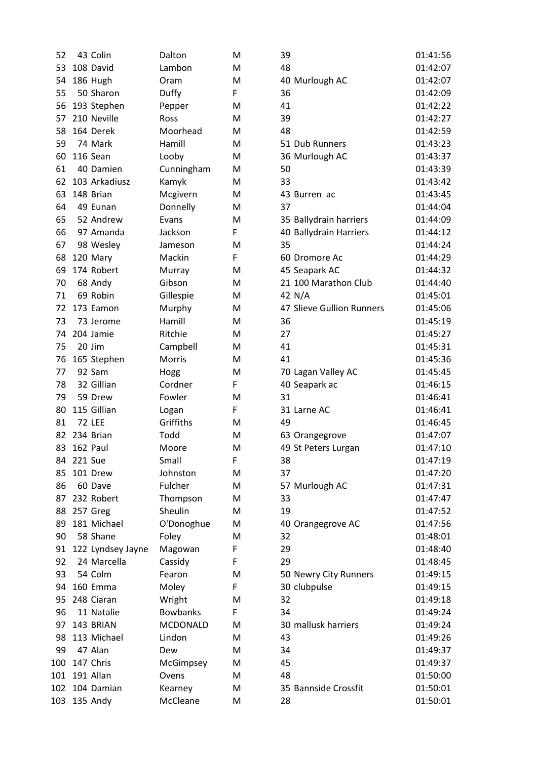| 52  |                | 43 Colin          | Dalton          | M | 39                        | 01:41:56 |
|-----|----------------|-------------------|-----------------|---|---------------------------|----------|
| 53  |                | 108 David         | Lambon          | M | 48                        | 01:42:07 |
| 54  |                | 186 Hugh          | Oram            | M | 40 Murlough AC            | 01:42:07 |
| 55  |                | 50 Sharon         | Duffy           | F | 36                        | 01:42:09 |
| 56  |                | 193 Stephen       | Pepper          | M | 41                        | 01:42:22 |
| 57  |                | 210 Neville       | Ross            | M | 39                        | 01:42:27 |
| 58  |                | 164 Derek         | Moorhead        | M | 48                        | 01:42:59 |
| 59  |                | 74 Mark           | Hamill          | M | 51 Dub Runners            | 01:43:23 |
| 60  |                | 116 Sean          | Looby           | M | 36 Murlough AC            | 01:43:37 |
| 61  |                | 40 Damien         | Cunningham      | M | 50                        | 01:43:39 |
| 62  |                | 103 Arkadiusz     | Kamyk           | M | 33                        | 01:43:42 |
| 63  |                | 148 Brian         | Mcgivern        | M | 43 Burren ac              | 01:43:45 |
| 64  |                | 49 Eunan          | Donnelly        | M | 37                        | 01:44:04 |
| 65  |                | 52 Andrew         | Evans           | M | 35 Ballydrain harriers    | 01:44:09 |
| 66  |                | 97 Amanda         | Jackson         | F | 40 Ballydrain Harriers    | 01:44:12 |
| 67  |                | 98 Wesley         | Jameson         | M | 35                        | 01:44:24 |
| 68  |                | 120 Mary          | Mackin          | F | 60 Dromore Ac             | 01:44:29 |
| 69  |                | 174 Robert        | Murray          | M | 45 Seapark AC             | 01:44:32 |
| 70  |                | 68 Andy           | Gibson          | M | 21 100 Marathon Club      | 01:44:40 |
| 71  |                | 69 Robin          | Gillespie       | M | 42 N/A                    | 01:45:01 |
| 72  |                | 173 Eamon         | Murphy          | M | 47 Slieve Gullion Runners | 01:45:06 |
| 73  |                | 73 Jerome         | Hamill          | M | 36                        | 01:45:19 |
| 74  |                | 204 Jamie         | Ritchie         | M | 27                        | 01:45:27 |
| 75  |                | 20 Jim            | Campbell        | M | 41                        | 01:45:31 |
| 76  |                | 165 Stephen       | Morris          | M | 41                        | 01:45:36 |
| 77  |                | 92 Sam            | Hogg            | M | 70 Lagan Valley AC        | 01:45:45 |
| 78  |                | 32 Gillian        | Cordner         | F | 40 Seapark ac             | 01:46:15 |
| 79  |                | 59 Drew           | Fowler          | M | 31                        | 01:46:41 |
| 80  |                | 115 Gillian       | Logan           | F | 31 Larne AC               | 01:46:41 |
| 81  |                | <b>72 LEE</b>     | Griffiths       | M | 49                        | 01:46:45 |
| 82  |                | 234 Brian         | Todd            | M | 63 Orangegrove            | 01:47:07 |
| 83  |                | 162 Paul          | Moore           | M | 49 St Peters Lurgan       | 01:47:10 |
| 84  | <b>221 Sue</b> |                   | Small           | F | 38                        | 01:47:19 |
| 85  |                | 101 Drew          | Johnston        | M | 37                        | 01:47:20 |
| 86  |                | 60 Dave           | Fulcher         | M | 57 Murlough AC            | 01:47:31 |
| 87  |                | 232 Robert        | Thompson        | M | 33                        | 01:47:47 |
| 88  |                | 257 Greg          | Sheulin         | M | 19                        | 01:47:52 |
| 89  |                | 181 Michael       | O'Donoghue      | M | 40 Orangegrove AC         | 01:47:56 |
| 90  |                | 58 Shane          | Foley           | M | 32                        | 01:48:01 |
| 91  |                | 122 Lyndsey Jayne | Magowan         | F | 29                        | 01:48:40 |
| 92  |                | 24 Marcella       | Cassidy         | F | 29                        | 01:48:45 |
| 93  |                | 54 Colm           | Fearon          | M | 50 Newry City Runners     | 01:49:15 |
| 94  |                | 160 Emma          | Moley           | F | 30 clubpulse              | 01:49:15 |
| 95  |                | 248 Ciaran        | Wright          | M | 32                        | 01:49:18 |
| 96  |                | 11 Natalie        | <b>Bowbanks</b> | F | 34                        | 01:49:24 |
| 97  |                | 143 BRIAN         | <b>MCDONALD</b> | M | 30 mallusk harriers       | 01:49:24 |
| 98  |                | 113 Michael       | Lindon          | M | 43                        | 01:49:26 |
| 99  |                | 47 Alan           | Dew             | M | 34                        | 01:49:37 |
| 100 |                | 147 Chris         | McGimpsey       | M | 45                        | 01:49:37 |
| 101 |                | 191 Allan         | Ovens           | M | 48                        | 01:50:00 |
| 102 |                | 104 Damian        | Kearney         | M | 35 Bannside Crossfit      | 01:50:01 |
|     |                | 103 135 Andy      | McCleane        | M | 28                        | 01:50:01 |
|     |                |                   |                 |   |                           |          |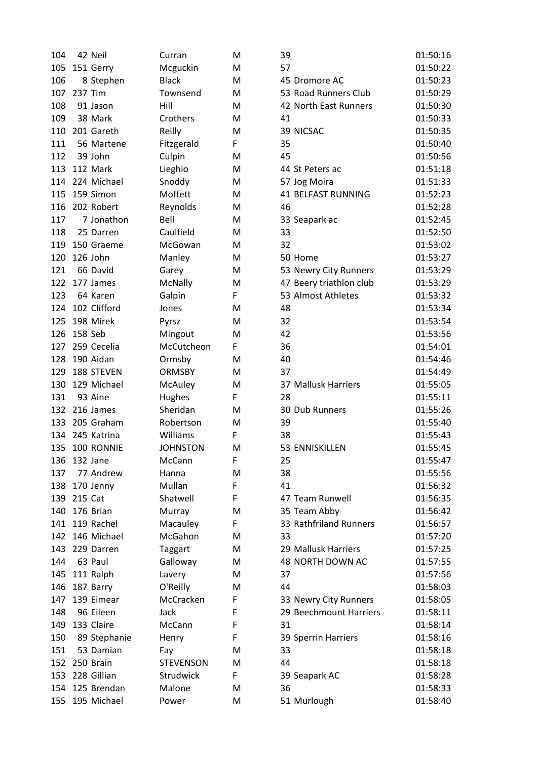| 104 |         | 42 Neil         | Curran           | M | 39                        | 01:50:16 |
|-----|---------|-----------------|------------------|---|---------------------------|----------|
| 105 |         | 151 Gerry       | Mcguckin         | м | 57                        | 01:50:22 |
| 106 |         | 8 Stephen       | <b>Black</b>     | M | 45 Dromore AC             | 01:50:23 |
| 107 |         | 237 Tim         | Townsend         | M | 53 Road Runners Club      | 01:50:29 |
| 108 |         | 91 Jason        | Hill             | M | 42 North East Runners     | 01:50:30 |
| 109 |         | 38 Mark         | Crothers         | M | 41                        | 01:50:33 |
| 110 |         | 201 Gareth      | Reilly           | M | 39 NICSAC                 | 01:50:35 |
| 111 |         | 56 Martene      | Fitzgerald       | F | 35                        | 01:50:40 |
| 112 |         | 39 John         | Culpin           | M | 45                        | 01:50:56 |
| 113 |         | 112 Mark        | Lieghio          | M | 44 St Peters ac           | 01:51:18 |
| 114 |         | 224 Michael     | Snoddy           | M | 57 Jog Moira              | 01:51:33 |
| 115 |         | 159 Simon       | Moffett          | M | <b>41 BELFAST RUNNING</b> | 01:52:23 |
| 116 |         | 202 Robert      | Reynolds         | M | 46                        | 01:52:28 |
| 117 |         | 7 Jonathon      | Bell             | M | 33 Seapark ac             | 01:52:45 |
| 118 |         | 25 Darren       | Caulfield        | M | 33                        | 01:52:50 |
| 119 |         | 150 Graeme      | McGowan          | M | 32                        | 01:53:02 |
| 120 |         | 126 John        | Manley           | M | 50 Home                   | 01:53:27 |
| 121 |         | 66 David        | Garey            | M | 53 Newry City Runners     | 01:53:29 |
| 122 |         | 177 James       | McNally          | M | 47 Beery triathlon club   | 01:53:29 |
| 123 |         | 64 Karen        | Galpin           | F | 53 Almost Athletes        | 01:53:32 |
| 124 |         | 102 Clifford    | Jones            | M | 48                        | 01:53:34 |
| 125 |         | 198 Mirek       | Pyrsz            | M | 32                        | 01:53:54 |
| 126 | 158 Seb |                 | Mingout          | M | 42                        | 01:53:56 |
| 127 |         | 259 Cecelia     | McCutcheon       | F | 36                        | 01:54:01 |
| 128 |         | 190 Aidan       | Ormsby           | M | 40                        | 01:54:46 |
| 129 |         | 188 STEVEN      | <b>ORMSBY</b>    | M | 37                        | 01:54:49 |
| 130 |         | 129 Michael     | McAuley          | M | 37 Mallusk Harriers       | 01:55:05 |
| 131 |         | 93 Aine         | Hughes           | F | 28                        | 01:55:11 |
| 132 |         | 216 James       | Sheridan         | M | 30 Dub Runners            | 01:55:26 |
| 133 |         | 205 Graham      | Robertson        | M | 39                        | 01:55:40 |
| 134 |         | 245 Katrina     | Williams         | F | 38                        | 01:55:43 |
| 135 |         | 100 RONNIE      | <b>JOHNSTON</b>  | M | 53 ENNISKILLEN            | 01:55:45 |
| 136 |         | 132 Jane        | McCann           | F | 25                        | 01:55:47 |
| 137 |         | 77 Andrew       | Hanna            | M | 38                        | 01:55:56 |
| 138 |         | 170 Jenny       | Mullan           | F | 41                        | 01:56:32 |
| 139 | 215 Cat |                 | Shatwell         | F | 47 Team Runwell           | 01:56:35 |
| 140 |         | 176 Brian       | Murray           | M | 35 Team Abby              | 01:56:42 |
| 141 |         | 119 Rachel      | Macauley         | F | 33 Rathfriland Runners    | 01:56:57 |
|     |         | 142 146 Michael | McGahon          | M | 33                        | 01:57:20 |
| 143 |         | 229 Darren      | Taggart          | M | 29 Mallusk Harriers       | 01:57:25 |
| 144 |         | 63 Paul         | Galloway         | M | 48 NORTH DOWN AC          | 01:57:55 |
| 145 |         | 111 Ralph       | Lavery           | M | 37                        | 01:57:56 |
| 146 |         | 187 Barry       | O'Reilly         | M | 44                        | 01:58:03 |
| 147 |         | 139 Eimear      | McCracken        | F | 33 Newry City Runners     | 01:58:05 |
| 148 |         | 96 Eileen       | Jack             | F | 29 Beechmount Harriers    | 01:58:11 |
| 149 |         | 133 Claire      | McCann           | F | 31                        | 01:58:14 |
| 150 |         | 89 Stephanie    | Henry            | F | 39 Sperrin Harriers       | 01:58:16 |
| 151 |         | 53 Damian       | Fay              | M | 33                        | 01:58:18 |
| 152 |         | 250 Brain       | <b>STEVENSON</b> | M | 44                        | 01:58:18 |
| 153 |         | 228 Gillian     | Strudwick        | F | 39 Seapark AC             | 01:58:28 |
|     |         | 154 125 Brendan | Malone           | M | 36                        | 01:58:33 |
| 155 |         | 195 Michael     | Power            | M | 51 Murlough               | 01:58:40 |
|     |         |                 |                  |   |                           |          |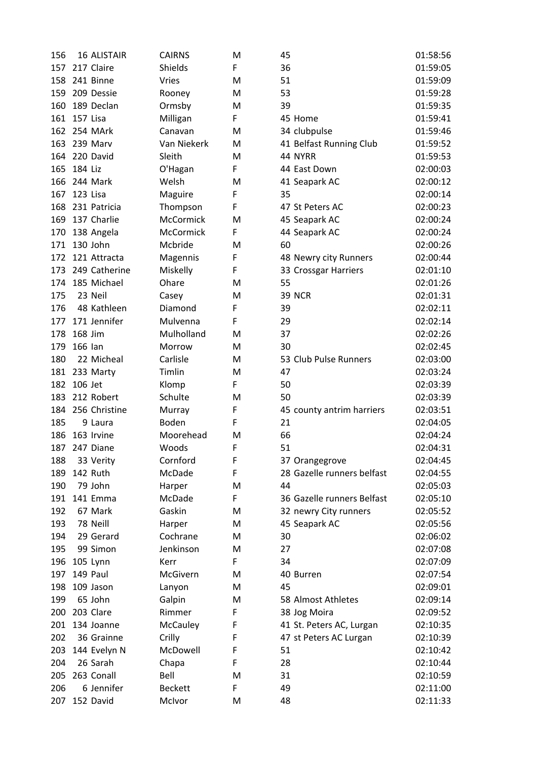| 156 |           | <b>16 ALISTAIR</b> | <b>CAIRNS</b>  | M | 45                         | 01:58:56 |
|-----|-----------|--------------------|----------------|---|----------------------------|----------|
| 157 |           | 217 Claire         | Shields        | F | 36                         | 01:59:05 |
| 158 |           | 241 Binne          | <b>Vries</b>   | M | 51                         | 01:59:09 |
| 159 |           | 209 Dessie         | Rooney         | M | 53                         | 01:59:28 |
| 160 |           | 189 Declan         | Ormsby         | M | 39                         | 01:59:35 |
| 161 | 157 Lisa  |                    | Milligan       | F | 45 Home                    | 01:59:41 |
|     |           | 162 254 MArk       | Canavan        | M | 34 clubpulse               | 01:59:46 |
| 163 |           | 239 Marv           | Van Niekerk    | м | 41 Belfast Running Club    | 01:59:52 |
| 164 |           | 220 David          | Sleith         | M | 44 NYRR                    | 01:59:53 |
| 165 | 184 Liz   |                    | O'Hagan        | F | 44 East Down               | 02:00:03 |
| 166 |           | 244 Mark           | Welsh          | M | 41 Seapark AC              | 02:00:12 |
| 167 | 123 Lisa  |                    | Maguire        | F | 35                         | 02:00:14 |
| 168 |           | 231 Patricia       | Thompson       | F | 47 St Peters AC            | 02:00:23 |
| 169 |           | 137 Charlie        | McCormick      | M | 45 Seapark AC              | 02:00:24 |
| 170 |           | 138 Angela         | McCormick      | F | 44 Seapark AC              | 02:00:24 |
| 171 | 130 John  |                    | Mcbride        | M | 60                         | 02:00:26 |
| 172 |           | 121 Attracta       | Magennis       | F | 48 Newry city Runners      | 02:00:44 |
| 173 |           | 249 Catherine      | Miskelly       | F | 33 Crossgar Harriers       | 02:01:10 |
| 174 |           | 185 Michael        | Ohare          | M | 55                         | 02:01:26 |
| 175 |           | 23 Neil            | Casey          | M | <b>39 NCR</b>              | 02:01:31 |
| 176 |           | 48 Kathleen        | Diamond        | F | 39                         | 02:02:11 |
| 177 |           | 171 Jennifer       | Mulvenna       | F | 29                         | 02:02:14 |
| 178 | 168 Jim   |                    | Mulholland     | M | 37                         | 02:02:26 |
| 179 | 166 lan   |                    | Morrow         | M | 30                         | 02:02:45 |
| 180 |           | 22 Micheal         | Carlisle       | M | 53 Club Pulse Runners      | 02:03:00 |
|     |           | 181 233 Marty      | Timlin         | M | 47                         | 02:03:24 |
| 182 | 106 Jet   |                    | Klomp          | F | 50                         | 02:03:39 |
| 183 |           | 212 Robert         | Schulte        | M | 50                         | 02:03:39 |
| 184 |           | 256 Christine      | Murray         | F | 45 county antrim harriers  | 02:03:51 |
| 185 |           | 9 Laura            | Boden          | F | 21                         | 02:04:05 |
| 186 |           | 163 Irvine         | Moorehead      | M | 66                         | 02:04:24 |
| 187 |           | 247 Diane          | Woods          | F | 51                         | 02:04:31 |
| 188 |           | 33 Verity          | Cornford       | F | 37 Orangegrove             | 02:04:45 |
| 189 | 142 Ruth  |                    | McDade         | F | 28 Gazelle runners belfast | 02:04:55 |
| 190 |           | 79 John            | Harper         | M | 44                         | 02:05:03 |
| 191 |           | 141 Emma           | McDade         | F | 36 Gazelle runners Belfast | 02:05:10 |
| 192 |           | 67 Mark            | Gaskin         | M | 32 newry City runners      | 02:05:52 |
| 193 |           | 78 Neill           | Harper         | M | 45 Seapark AC              | 02:05:56 |
| 194 |           | 29 Gerard          | Cochrane       | M | 30                         | 02:06:02 |
| 195 |           | 99 Simon           | Jenkinson      | M | 27                         | 02:07:08 |
| 196 | 105 Lynn  |                    | Kerr           | F | 34                         | 02:07:09 |
| 197 | 149 Paul  |                    | McGivern       | M | 40 Burren                  | 02:07:54 |
| 198 |           | 109 Jason          | Lanyon         | M | 45                         | 02:09:01 |
| 199 |           | 65 John            | Galpin         | M | 58 Almost Athletes         | 02:09:14 |
| 200 | 203 Clare |                    | Rimmer         | F | 38 Jog Moira               | 02:09:52 |
| 201 |           | 134 Joanne         | McCauley       | F | 41 St. Peters AC, Lurgan   | 02:10:35 |
| 202 |           | 36 Grainne         | Crilly         | F | 47 st Peters AC Lurgan     | 02:10:39 |
| 203 |           | 144 Evelyn N       | McDowell       | F | 51                         | 02:10:42 |
| 204 |           | 26 Sarah           | Chapa          | F | 28                         | 02:10:44 |
| 205 |           | 263 Conall         | Bell           | M | 31                         | 02:10:59 |
| 206 |           | 6 Jennifer         | <b>Beckett</b> | F | 49                         | 02:11:00 |
| 207 |           | 152 David          | McIvor         | M | 48                         | 02:11:33 |
|     |           |                    |                |   |                            |          |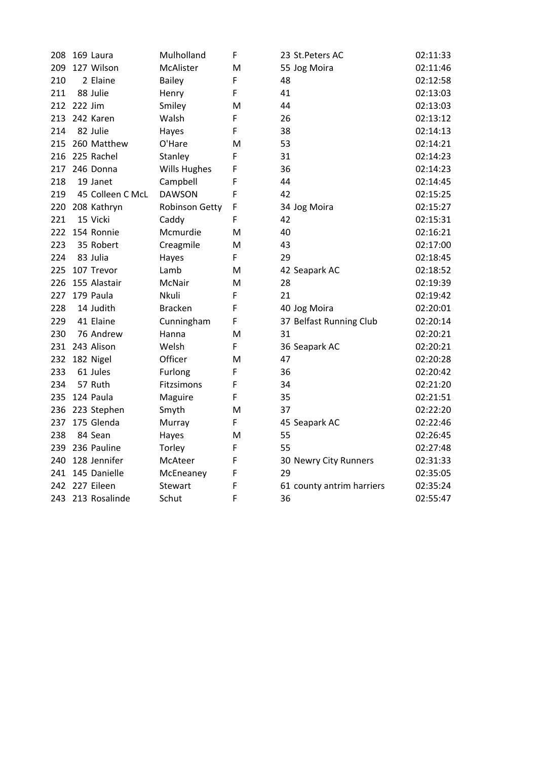|     | 208 169 Laura     | Mulholland     | F | 23 St.Peters AC           | 02:11:33 |
|-----|-------------------|----------------|---|---------------------------|----------|
| 209 | 127 Wilson        | McAlister      | M | 55 Jog Moira              | 02:11:46 |
| 210 | 2 Elaine          | <b>Bailey</b>  | F | 48                        | 02:12:58 |
| 211 | 88 Julie          | Henry          | F | 41                        | 02:13:03 |
|     | 212 222 Jim       | Smiley         | M | 44                        | 02:13:03 |
|     | 213 242 Karen     | Walsh          | F | 26                        | 02:13:12 |
| 214 | 82 Julie          | Hayes          | F | 38                        | 02:14:13 |
|     | 215 260 Matthew   | O'Hare         | м | 53                        | 02:14:21 |
|     | 216 225 Rachel    | Stanley        | F | 31                        | 02:14:23 |
|     | 217 246 Donna     | Wills Hughes   | F | 36                        | 02:14:23 |
| 218 | 19 Janet          | Campbell       | F | 44                        | 02:14:45 |
| 219 | 45 Colleen C McL  | <b>DAWSON</b>  | F | 42                        | 02:15:25 |
| 220 | 208 Kathryn       | Robinson Getty | F | 34 Jog Moira              | 02:15:27 |
| 221 | 15 Vicki          | Caddy          | F | 42                        | 02:15:31 |
| 222 | 154 Ronnie        | Mcmurdie       | M | 40                        | 02:16:21 |
| 223 | 35 Robert         | Creagmile      | M | 43                        | 02:17:00 |
| 224 | 83 Julia          | Hayes          | F | 29                        | 02:18:45 |
| 225 | 107 Trevor        | Lamb           | M | 42 Seapark AC             | 02:18:52 |
| 226 | 155 Alastair      | McNair         | M | 28                        | 02:19:39 |
| 227 | 179 Paula         | Nkuli          | F | 21                        | 02:19:42 |
| 228 | 14 Judith         | <b>Bracken</b> | F | 40 Jog Moira              | 02:20:01 |
| 229 | 41 Elaine         | Cunningham     | F | 37 Belfast Running Club   | 02:20:14 |
| 230 | 76 Andrew         | Hanna          | M | 31                        | 02:20:21 |
|     | 231 243 Alison    | Welsh          | F | 36 Seapark AC             | 02:20:21 |
|     | 232 182 Nigel     | Officer        | M | 47                        | 02:20:28 |
| 233 | 61 Jules          | Furlong        | F | 36                        | 02:20:42 |
| 234 | 57 Ruth           | Fitzsimons     | F | 34                        | 02:21:20 |
| 235 | 124 Paula         | Maguire        | F | 35                        | 02:21:51 |
| 236 | 223 Stephen       | Smyth          | м | 37                        | 02:22:20 |
| 237 | 175 Glenda        | Murray         | F | 45 Seapark AC             | 02:22:46 |
| 238 | 84 Sean           | Hayes          | M | 55                        | 02:26:45 |
|     | 239 236 Pauline   | Torley         | F | 55                        | 02:27:48 |
|     | 240 128 Jennifer  | McAteer        | F | 30 Newry City Runners     | 02:31:33 |
|     | 241 145 Danielle  | McEneaney      | F | 29                        | 02:35:05 |
|     | 242 227 Eileen    | Stewart        | F | 61 county antrim harriers | 02:35:24 |
|     | 243 213 Rosalinde | Schut          | F | 36                        | 02:55:47 |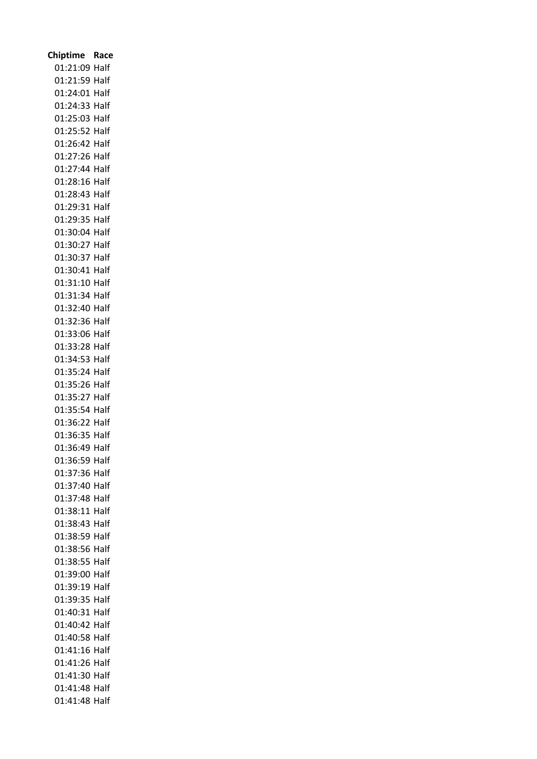| Chiptime Race                  |  |
|--------------------------------|--|
| 01:21:09 Half                  |  |
| 01:21:59 Half                  |  |
| 01:24:01 Half                  |  |
| 01:24:33 Half                  |  |
| 01:25:03 Half                  |  |
| 01:25:52 Half                  |  |
| 01:26:42 Half                  |  |
| 01:27:26 Half                  |  |
| 01:27:44 Half                  |  |
| 01:28:16 Half                  |  |
| 01:28:43 Half                  |  |
| 01:29:31 Half                  |  |
| 01:29:35 Half                  |  |
| 01:30:04 Half                  |  |
| 01:30:27 Half                  |  |
| 01:30:37 Half                  |  |
| 01:30:41 Half                  |  |
| 01:31:10 Half                  |  |
| 01:31:34 Half                  |  |
| 01:32:40 Half                  |  |
| 01:32:36 Half                  |  |
| 01:33:06 Half                  |  |
| 01:33:28 Half                  |  |
| 01:34:53 Half                  |  |
| 01:35:24 Half                  |  |
| 01:35:26 Half                  |  |
| 01:35:27 Half                  |  |
| 01:35:54 Half                  |  |
| 01:36:22 Half                  |  |
| 01:36:35 Half                  |  |
| 01:36:49 Half                  |  |
|                                |  |
| 01:36:59 Half<br>01:37:36 Half |  |
|                                |  |
| 01:37:40 Half<br>01:37:48 Half |  |
| 01:38:11 Half                  |  |
| 01:38:43 Half                  |  |
| 01:38:59 Half                  |  |
| 01:38:56 Half                  |  |
| 01:38:55 Half                  |  |
| 01:39:00 Half                  |  |
| 01:39:19 Half                  |  |
| 01:39:35 Half                  |  |
| 01:40:31 Half                  |  |
|                                |  |
| 01:40:42 Half<br>01:40:58 Half |  |
| 01:41:16 Half                  |  |
|                                |  |
| 01:41:26 Half                  |  |
| 01:41:30 Half                  |  |
| 01:41:48 Half                  |  |
| 01:41:48 Half                  |  |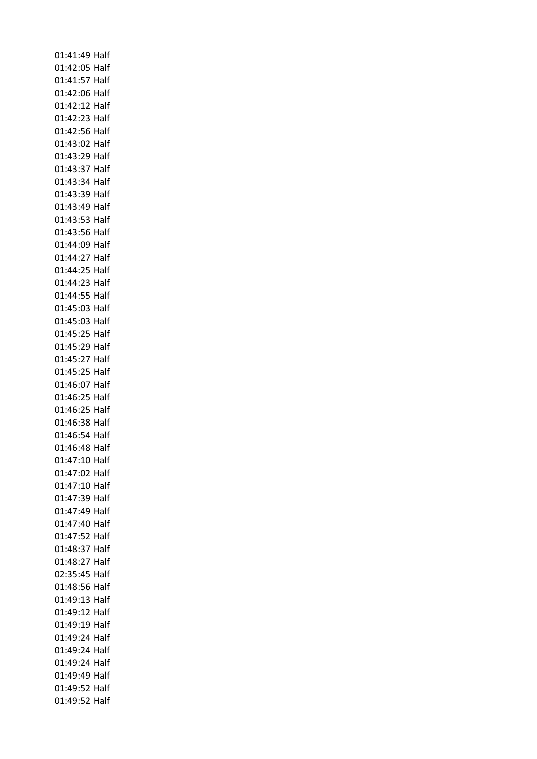01:41:49 Half 01:42:05 Half 01:41:57 Half 01:42:06 Half 01:42:12 Half 01:42:23 Half 01:42:56 Half 01:43:02 Half 01:43:29 Half 01:43:37 Half 01:43:34 Half 01:43:39 Half 01:43:49 Half 01:43:53 Half 01:43:56 Half 01:44:09 Half 01:44:27 Half 01:44:25 Half 01:44:23 Half 01:44:55 Half 01:45:03 Half 01:45:03 Half 01:45:25 Half 01:45:29 Half 01:45:27 Half 01:45:25 Half 01:46:07 Half 01:46:25 Half 01:46:25 Half 01:46:38 Half 01:46:54 Half 01:46:48 Half 01:47:10 Half 01:47:02 Half 01:47:10 Half 01:47:39 Half 01:47:49 Half 01:47:40 Half 01:47:52 Half 01:48:37 Half 01:48:27 Half 02:35:45 Half 01:48:56 Half 01:49:13 Half 01:49:12 Half 01:49:19 Half 01:49:24 Half 01:49:24 Half 01:49:24 Half 01:49:49 Half 01:49:52 Half 01:49:52 Half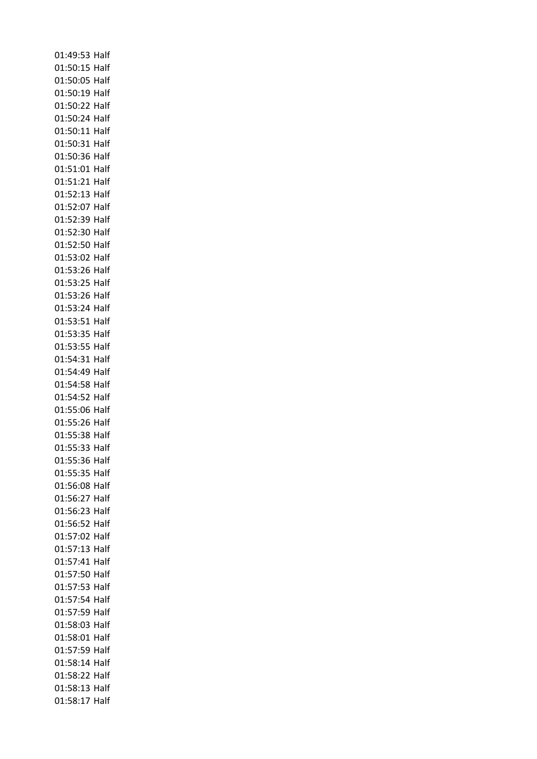01:49:53 Half 01:50:15 Half 01:50:05 Half 01:50:19 Half 01:50:22 Half 01:50:24 Half 01:50:11 Half 01:50:31 Half 01:50:36 Half 01:51:01 Half 01:51:21 Half 01:52:13 Half 01:52:07 Half 01:52:39 Half 01:52:30 Half 01:52:50 Half 01:53:02 Half 01:53:26 Half 01:53:25 Half 01:53:26 Half 01:53:24 Half 01:53:51 Half 01:53:35 Half 01:53:55 Half 01:54:31 Half 01:54:49 Half 01:54:58 Half 01:54:52 Half 01:55:06 Half 01:55:26 Half 01:55:38 Half 01:55:33 Half 01:55:36 Half 01:55:35 Half 01:56:08 Half 01:56:27 Half 01:56:23 Half 01:56:52 Half 01:57:02 Half 01:57:13 Half 01:57:41 Half 01:57:50 Half 01:57:53 Half 01:57:54 Half 01:57:59 Half 01:58:03 Half 01:58:01 Half 01:57:59 Half 01:58:14 Half 01:58:22 Half 01:58:13 Half 01:58:17 Half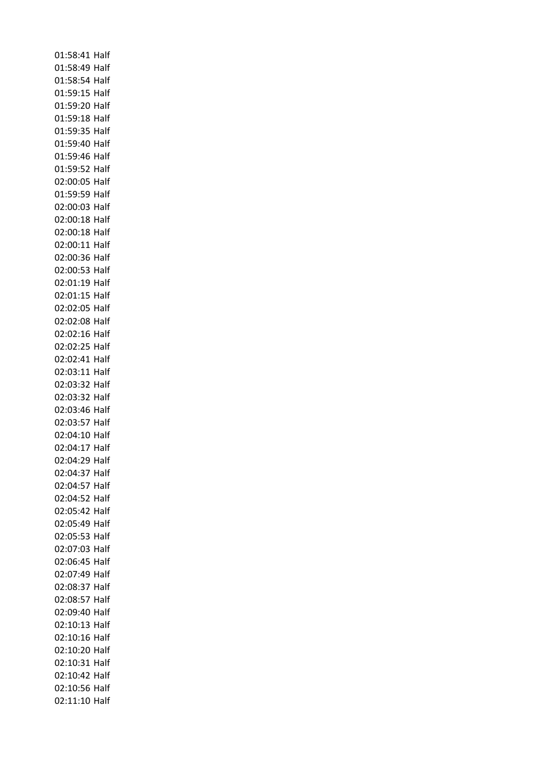01:58:41 Half 01:58:49 Half 01:58:54 Half 01:59:15 Half 01:59:20 Half 01:59:18 Half 01:59:35 Half 01:59:40 Half 01:59:46 Half 01:59:52 Half 02:00:05 Half 01:59:59 Half 02:00:03 Half 02:00:18 Half 02:00:18 Half 02:00:11 Half 02:00:36 Half 02:00:53 Half 02:01:19 Half 02:01:15 Half 02:02:05 Half 02:02:08 Half 02:02:16 Half 02:02:25 Half 02:02:41 Half 02:03:11 Half 02:03:32 Half 02:03:32 Half 02:03:46 Half 02:03:57 Half 02:04:10 Half 02:04:17 Half 02:04:29 Half 02:04:37 Half 02:04:57 Half 02:04:52 Half 02:05:42 Half 02:05:49 Half 02:05:53 Half 02:07:03 Half 02:06:45 Half 02:07:49 Half 02:08:37 Half 02:08:57 Half 02:09:40 Half 02:10:13 Half 02:10:16 Half 02:10:20 Half 02:10:31 Half 02:10:42 Half 02:10:56 Half 02:11:10 Half